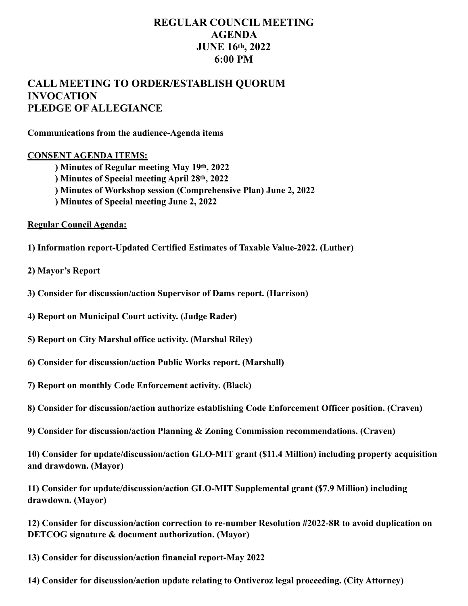## **REGULAR COUNCIL MEETING AGENDA JUNE 16th, 2022 6:00 PM**

## **CALL MEETING TO ORDER/ESTABLISH QUORUM INVOCATION PLEDGE OF ALLEGIANCE**

**Communications from the audience-Agenda items** 

## **CONSENT AGENDA ITEMS:**

 **) Minutes of Regular meeting May 19th, 2022** 

- **) Minutes of Special meeting April 28th, 2022**
- **) Minutes of Workshop session (Comprehensive Plan) June 2, 2022**
- **) Minutes of Special meeting June 2, 2022**

**Regular Council Agenda:** 

- **1) Information report-Updated Certified Estimates of Taxable Value-2022. (Luther)**
- **2) Mayor's Report**
- **3) Consider for discussion/action Supervisor of Dams report. (Harrison)**
- **4) Report on Municipal Court activity. (Judge Rader)**
- **5) Report on City Marshal office activity. (Marshal Riley)**
- **6) Consider for discussion/action Public Works report. (Marshall)**
- **7) Report on monthly Code Enforcement activity. (Black)**
- **8) Consider for discussion/action authorize establishing Code Enforcement Officer position. (Craven)**
- **9) Consider for discussion/action Planning & Zoning Commission recommendations. (Craven)**

**10) Consider for update/discussion/action GLO-MIT grant (\$11.4 Million) including property acquisition and drawdown. (Mayor)** 

**11) Consider for update/discussion/action GLO-MIT Supplemental grant (\$7.9 Million) including drawdown. (Mayor)** 

**12) Consider for discussion/action correction to re-number Resolution #2022-8R to avoid duplication on DETCOG signature & document authorization. (Mayor)** 

**13) Consider for discussion/action financial report-May 2022** 

**14) Consider for discussion/action update relating to Ontiveroz legal proceeding. (City Attorney)**